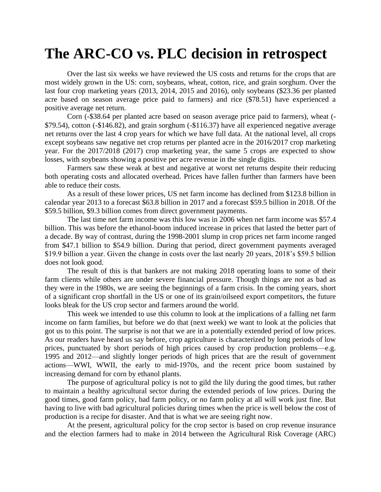## **The ARC-CO vs. PLC decision in retrospect**

Over the last six weeks we have reviewed the US costs and returns for the crops that are most widely grown in the US: corn, soybeans, wheat, cotton, rice, and grain sorghum. Over the last four crop marketing years (2013, 2014, 2015 and 2016), only soybeans (\$23.36 per planted acre based on season average price paid to farmers) and rice (\$78.51) have experienced a positive average net return.

Corn (-\$38.64 per planted acre based on season average price paid to farmers), wheat (- \$79.54), cotton (-\$146.82), and grain sorghum (-\$116.37) have all experienced negative average net returns over the last 4 crop years for which we have full data. At the national level, all crops except soybeans saw negative net crop returns per planted acre in the 2016/2017 crop marketing year. For the 2017/2018 (2017) crop marketing year, the same 5 crops are expected to show losses, with soybeans showing a positive per acre revenue in the single digits.

Farmers saw these weak at best and negative at worst net returns despite their reducing both operating costs and allocated overhead. Prices have fallen further than farmers have been able to reduce their costs.

As a result of these lower prices, US net farm income has declined from \$123.8 billion in calendar year 2013 to a forecast \$63.8 billion in 2017 and a forecast \$59.5 billion in 2018. Of the \$59.5 billion, \$9.3 billion comes from direct government payments.

The last time net farm income was this low was in 2006 when net farm income was \$57.4 billion. This was before the ethanol-boom induced increase in prices that lasted the better part of a decade. By way of contrast, during the 1998-2001 slump in crop prices net farm income ranged from \$47.1 billion to \$54.9 billion. During that period, direct government payments averaged \$19.9 billion a year. Given the change in costs over the last nearly 20 years, 2018's \$59.5 billion does not look good.

The result of this is that bankers are not making 2018 operating loans to some of their farm clients while others are under severe financial pressure. Though things are not as bad as they were in the 1980s, we are seeing the beginnings of a farm crisis. In the coming years, short of a significant crop shortfall in the US or one of its grain/oilseed export competitors, the future looks bleak for the US crop sector and farmers around the world.

This week we intended to use this column to look at the implications of a falling net farm income on farm families, but before we do that (next week) we want to look at the policies that got us to this point. The surprise is not that we are in a potentially extended period of low prices. As our readers have heard us say before, crop agriculture is characterized by long periods of low prices, punctuated by short periods of high prices caused by crop production problems—e.g. 1995 and 2012—and slightly longer periods of high prices that are the result of government actions—WWI, WWII, the early to mid-1970s, and the recent price boom sustained by increasing demand for corn by ethanol plants.

The purpose of agricultural policy is not to gild the lily during the good times, but rather to maintain a healthy agricultural sector during the extended periods of low prices. During the good times, good farm policy, bad farm policy, or no farm policy at all will work just fine. But having to live with bad agricultural policies during times when the price is well below the cost of production is a recipe for disaster. And that is what we are seeing right now.

At the present, agricultural policy for the crop sector is based on crop revenue insurance and the election farmers had to make in 2014 between the Agricultural Risk Coverage (ARC)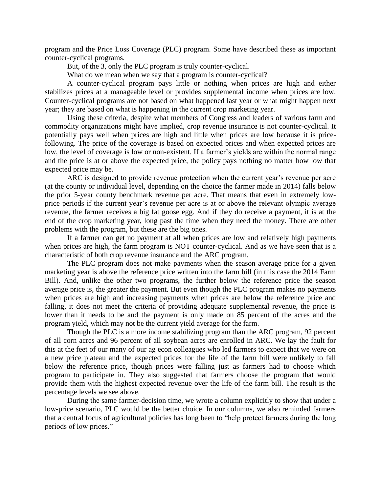program and the Price Loss Coverage (PLC) program. Some have described these as important counter-cyclical programs.

But, of the 3, only the PLC program is truly counter-cyclical.

What do we mean when we say that a program is counter-cyclical?

A counter-cyclical program pays little or nothing when prices are high and either stabilizes prices at a manageable level or provides supplemental income when prices are low. Counter-cyclical programs are not based on what happened last year or what might happen next year; they are based on what is happening in the current crop marketing year.

Using these criteria, despite what members of Congress and leaders of various farm and commodity organizations might have implied, crop revenue insurance is not counter-cyclical. It potentially pays well when prices are high and little when prices are low because it is pricefollowing. The price of the coverage is based on expected prices and when expected prices are low, the level of coverage is low or non-existent. If a farmer's yields are within the normal range and the price is at or above the expected price, the policy pays nothing no matter how low that expected price may be.

ARC is designed to provide revenue protection when the current year's revenue per acre (at the county or individual level, depending on the choice the farmer made in 2014) falls below the prior 5-year county benchmark revenue per acre. That means that even in extremely lowprice periods if the current year's revenue per acre is at or above the relevant olympic average revenue, the farmer receives a big fat goose egg. And if they do receive a payment, it is at the end of the crop marketing year, long past the time when they need the money. There are other problems with the program, but these are the big ones.

If a farmer can get no payment at all when prices are low and relatively high payments when prices are high, the farm program is NOT counter-cyclical. And as we have seen that is a characteristic of both crop revenue insurance and the ARC program.

The PLC program does not make payments when the season average price for a given marketing year is above the reference price written into the farm bill (in this case the 2014 Farm Bill). And, unlike the other two programs, the further below the reference price the season average price is, the greater the payment. But even though the PLC program makes no payments when prices are high and increasing payments when prices are below the reference price and falling, it does not meet the criteria of providing adequate supplemental revenue, the price is lower than it needs to be and the payment is only made on 85 percent of the acres and the program yield, which may not be the current yield average for the farm.

Though the PLC is a more income stabilizing program than the ARC program, 92 percent of all corn acres and 96 percent of all soybean acres are enrolled in ARC. We lay the fault for this at the feet of our many of our ag econ colleagues who led farmers to expect that we were on a new price plateau and the expected prices for the life of the farm bill were unlikely to fall below the reference price, though prices were falling just as farmers had to choose which program to participate in. They also suggested that farmers choose the program that would provide them with the highest expected revenue over the life of the farm bill. The result is the percentage levels we see above.

During the same farmer-decision time, we wrote a column explicitly to show that under a low-price scenario, PLC would be the better choice. In our columns, we also reminded farmers that a central focus of agricultural policies has long been to "help protect farmers during the long periods of low prices."